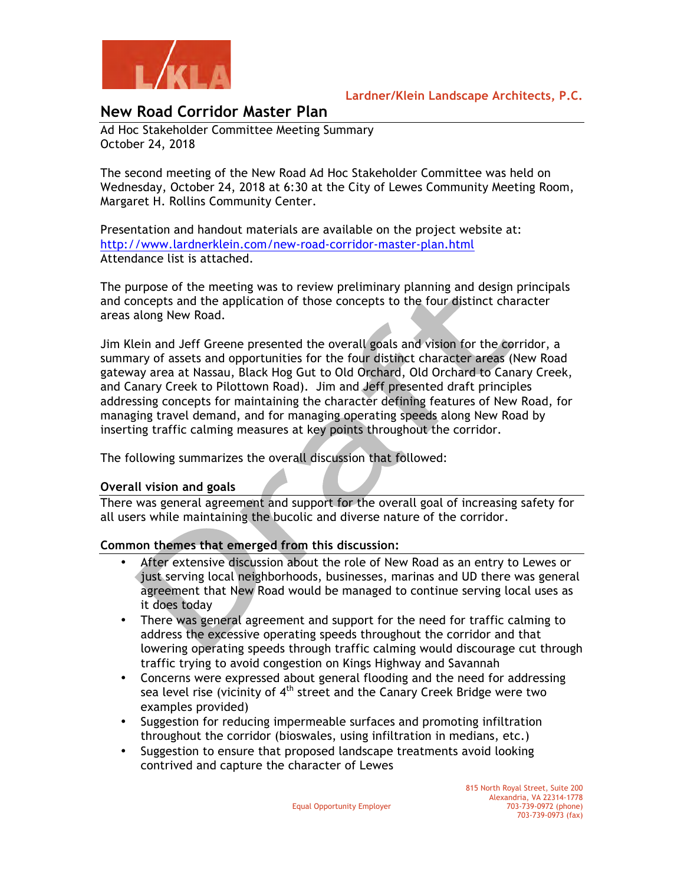

# **Lardner/Klein Landscape Architects, P.C.**

# **New Road Corridor Master Plan**

Ad Hoc Stakeholder Committee Meeting Summary October 24, 2018

The second meeting of the New Road Ad Hoc Stakeholder Committee was held on Wednesday, October 24, 2018 at 6:30 at the City of Lewes Community Meeting Room, Margaret H. Rollins Community Center.

Presentation and handout materials are available on the project website at: http://www.lardnerklein.com/new-road-corridor-master-plan.html Attendance list is attached.

The purpose of the meeting was to review preliminary planning and design principals and concepts and the application of those concepts to the four distinct character areas along New Road.

Jim Klein and Jeff Greene presented the overall goals and vision for the corridor, a summary of assets and opportunities for the four distinct character areas (New Road gateway area at Nassau, Black Hog Gut to Old Orchard, Old Orchard to Canary Creek, and Canary Creek to Pilottown Road). Jim and Jeff presented draft principles addressing concepts for maintaining the character defining features of New Road, for managing travel demand, and for managing operating speeds along New Road by inserting traffic calming measures at key points throughout the corridor.

The following summarizes the overall discussion that followed:

## **Overall vision and goals**

There was general agreement and support for the overall goal of increasing safety for all users while maintaining the bucolic and diverse nature of the corridor.

## **Common themes that emerged from this discussion:**

- After extensive discussion about the role of New Road as an entry to Lewes or just serving local neighborhoods, businesses, marinas and UD there was general agreement that New Road would be managed to continue serving local uses as it does today
- There was general agreement and support for the need for traffic calming to address the excessive operating speeds throughout the corridor and that lowering operating speeds through traffic calming would discourage cut through traffic trying to avoid congestion on Kings Highway and Savannah
- Concerns were expressed about general flooding and the need for addressing sea level rise (vicinity of  $4<sup>th</sup>$  street and the Canary Creek Bridge were two examples provided)
- Suggestion for reducing impermeable surfaces and promoting infiltration throughout the corridor (bioswales, using infiltration in medians, etc.)
- Suggestion to ensure that proposed landscape treatments avoid looking contrived and capture the character of Lewes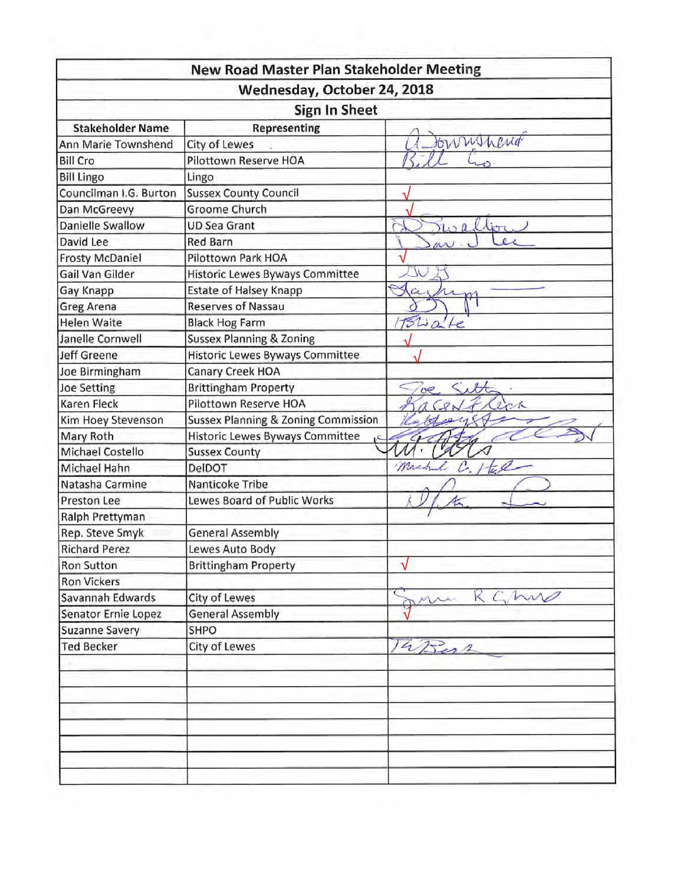|                                            | Wednesday, October 24, 2018            |             |  |  |  |  |  |  |
|--------------------------------------------|----------------------------------------|-------------|--|--|--|--|--|--|
|                                            | Sign In Sheet                          |             |  |  |  |  |  |  |
| <b>Stakeholder Name</b>                    | <b>Representing</b>                    |             |  |  |  |  |  |  |
| Ann Marie Townshend                        | City of Lewes                          | tonninend   |  |  |  |  |  |  |
| <b>Bill Cro</b>                            | Pilottown Reserve HOA                  |             |  |  |  |  |  |  |
| <b>Bill Lingo</b>                          | Lingo                                  |             |  |  |  |  |  |  |
| Councilman I.G. Burton                     | <b>Sussex County Council</b>           |             |  |  |  |  |  |  |
| Dan McGreevy                               | Groome Church                          |             |  |  |  |  |  |  |
| Danielle Swallow                           | <b>UD Sea Grant</b>                    | roallor     |  |  |  |  |  |  |
| David Lee                                  | <b>Red Barn</b>                        |             |  |  |  |  |  |  |
| <b>Frosty McDaniel</b>                     | Pilottown Park HOA                     |             |  |  |  |  |  |  |
| Gail Van Gilder                            | Historic Lewes Byways Committee        |             |  |  |  |  |  |  |
| Gay Knapp                                  | <b>Estate of Halsey Knapp</b>          |             |  |  |  |  |  |  |
| Greg Arena                                 | <b>Reserves of Nassau</b>              |             |  |  |  |  |  |  |
| <b>Helen Waite</b>                         | <b>Black Hog Farm</b>                  | 1520c       |  |  |  |  |  |  |
| Janelle Cornwell                           | <b>Sussex Planning &amp; Zoning</b>    |             |  |  |  |  |  |  |
| <b>Jeff Greene</b>                         | Historic Lewes Byways Committee        |             |  |  |  |  |  |  |
| Joe Birmingham                             | Canary Creek HOA                       |             |  |  |  |  |  |  |
| <b>Joe Setting</b>                         | <b>Brittingham Property</b>            | H<br>oe.    |  |  |  |  |  |  |
| <b>Karen Fleck</b>                         | Pilottown Reserve HOA                  | ecr         |  |  |  |  |  |  |
| Kim Hoey Stevenson                         | Sussex Planning & Zoning Commission    |             |  |  |  |  |  |  |
| Mary Roth                                  | <b>Historic Lewes Byways Committee</b> |             |  |  |  |  |  |  |
| <b>Michael Costello</b>                    | <b>Sussex County</b>                   |             |  |  |  |  |  |  |
| Michael Hahn                               | DelDOT                                 | mich        |  |  |  |  |  |  |
| Natasha Carmine                            | Nanticoke Tribe                        |             |  |  |  |  |  |  |
| Preston Lee                                | Lewes Board of Public Works            |             |  |  |  |  |  |  |
| Ralph Prettyman                            |                                        |             |  |  |  |  |  |  |
| Rep. Steve Smyk                            | <b>General Assembly</b>                |             |  |  |  |  |  |  |
| <b>Richard Perez</b>                       | Lewes Auto Body                        |             |  |  |  |  |  |  |
|                                            | <b>Brittingham Property</b>            | √           |  |  |  |  |  |  |
|                                            |                                        |             |  |  |  |  |  |  |
| Ron Sutton                                 |                                        |             |  |  |  |  |  |  |
| <b>Ron Vickers</b>                         |                                        |             |  |  |  |  |  |  |
| Savannah Edwards                           | <b>City of Lewes</b>                   | RGMW<br>ann |  |  |  |  |  |  |
| Senator Ernie Lopez                        | <b>General Assembly</b><br>SHPO        |             |  |  |  |  |  |  |
| <b>Suzanne Savery</b><br><b>Ted Becker</b> | <b>City of Lewes</b>                   | 14 Bent     |  |  |  |  |  |  |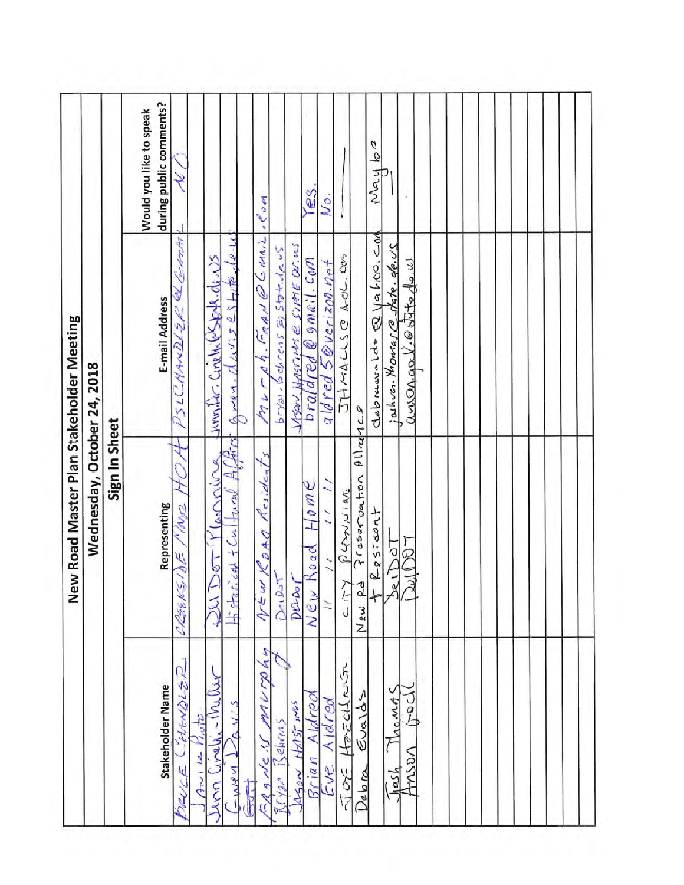|                                     | New Road Master Plan Stakeholder Meeting         |                                                             |                                                    |
|-------------------------------------|--------------------------------------------------|-------------------------------------------------------------|----------------------------------------------------|
|                                     | Wednesday, October 24, 2018                      |                                                             |                                                    |
|                                     | Sign In Sheet                                    |                                                             |                                                    |
| Stakeholder Name                    | Representing                                     | E-mail Address                                              | during public comments?<br>Would you like to speak |
| HENDLER<br>PUL                      | ami<br>N<br>ŵ<br>CRESK                           | 4 ap<br>$H$ ANDL $Z$ le                                     | ¥                                                  |
| Le Phyte<br>$\tilde{\mathcal{L}}$   |                                                  |                                                             |                                                    |
| $-1$ Vy<br>inella<br>22             | $\epsilon$<br>Der<br>SQ                          | umber Cinelwesterk.de. US                                   |                                                    |
| R V. S<br>$\Delta \phi / \sqrt{2}$  | といき<br><b>HAAGE</b><br>$+$ Ca<br>rcedl<br>卡叶     | $\overline{2}$<br>$Hil\overline{e}$<br>J<br>114.55<br>Gwen. |                                                    |
| murmhn<br>SPANE !S<br>$\frac{1}{2}$ | Resident<br>ROAD<br>Ź.<br>$\gamma$               | $F_{R}$ AN $\varnothing$ G MAIL<br>$\sqrt{2}$<br>nd         | rCom                                               |
| Rryan Behrens                       | 5<br>Dec 9                                       | bryan. Behrens & State. 12 US                               |                                                    |
| $t z $ $57 - 10^{15}$<br>$M_{29M}$  | Derro                                            | Stran HASTINS @ SIME DE.WS                                  |                                                    |
| Aldreo<br>Brian                     | $H_0$ m $C$<br>Road<br>New                       | $\frac{1}{2}$                                               | es                                                 |
| Aidrea<br>SV2                       | $\overline{a}$                                   | aldred 5@verizon.not                                        | .م)                                                |
| Hosciloum<br>SOL                    | PLANING<br>にし                                    | A-OL.COM<br><b>JHAUSE</b>                                   |                                                    |
| Eualds<br>Debra                     | $\frac{\beta}{2}$<br>Preservation<br>Ρ<br>م سولم | 271                                                         |                                                    |
|                                     | Resident<br>┾                                    | debiacualdo Q Va hoo. Cod                                   | Nayba                                              |
| MOMA<br>hosh                        | $\overline{5}$<br>$\frac{1}{2}$                  | juhva Montas @skte devs                                     |                                                    |
| $\frac{1}{2}$<br>MSDN               | $\widetilde{\mathbb{R}}$<br>إرد                  | anonaple strip de u                                         |                                                    |
|                                     |                                                  |                                                             |                                                    |
|                                     |                                                  |                                                             |                                                    |
|                                     |                                                  |                                                             |                                                    |
|                                     |                                                  |                                                             |                                                    |
|                                     |                                                  |                                                             |                                                    |
|                                     |                                                  |                                                             |                                                    |
|                                     |                                                  |                                                             |                                                    |
|                                     |                                                  |                                                             |                                                    |
|                                     |                                                  |                                                             |                                                    |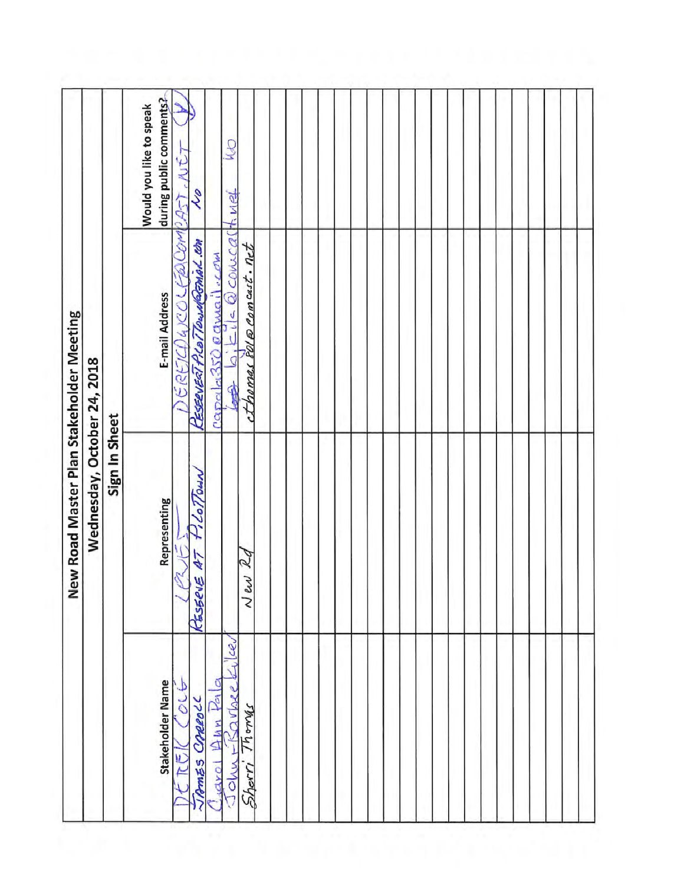| Fol @ Comcast. Net<br>SREICHAICOL<br>New Road Master Plan Stakeholder Meeting<br>√<br>capela350<br>Wednesday, October 24, 2018<br>rowoy<br>Sign In Sheet<br>$2$ Lo $7$ Duin<br>Representing<br>$\overline{\mathcal{U}}$<br>47<br>KESSEVE<br>$\sim \epsilon$<br>Lev<br>Ø |  | during public comments?<br>Would you like to speak | $0.457$ , $NCT$<br>yul<br>ā | Ş                           | <b>COM</b>                 | P<br>twa<br>Qconucal |  |  |  |  |  |  |  |  |  |
|-------------------------------------------------------------------------------------------------------------------------------------------------------------------------------------------------------------------------------------------------------------------------|--|----------------------------------------------------|-----------------------------|-----------------------------|----------------------------|----------------------|--|--|--|--|--|--|--|--|--|
|                                                                                                                                                                                                                                                                         |  | E-mail Address                                     |                             | KESERVERT PLOTTOWARGMAL.COM | <b><i><u>awway</u></i></b> |                      |  |  |  |  |  |  |  |  |  |
| mary                                                                                                                                                                                                                                                                    |  | Stakeholder Name                                   | olt                         | JAMES CRREOLL               | $\frac{1}{2}$              | $-50$ vbee           |  |  |  |  |  |  |  |  |  |